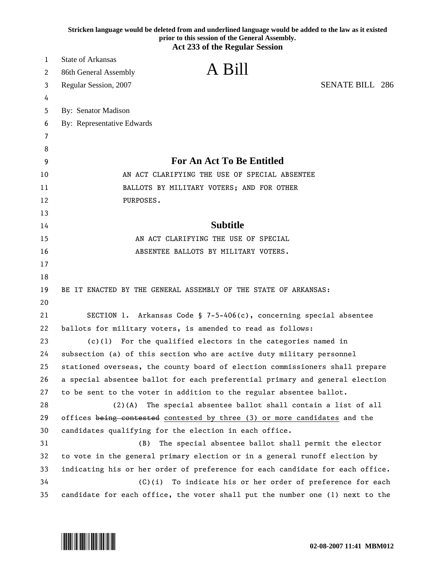|    | Stricken language would be deleted from and underlined language would be added to the law as it existed<br>prior to this session of the General Assembly.<br><b>Act 233 of the Regular Session</b> |
|----|----------------------------------------------------------------------------------------------------------------------------------------------------------------------------------------------------|
|    |                                                                                                                                                                                                    |
| 1  | <b>State of Arkansas</b><br>A Bill                                                                                                                                                                 |
| 2  | 86th General Assembly                                                                                                                                                                              |
| 3  | <b>SENATE BILL 286</b><br>Regular Session, 2007                                                                                                                                                    |
| 4  |                                                                                                                                                                                                    |
| 5  | By: Senator Madison                                                                                                                                                                                |
| 6  | By: Representative Edwards                                                                                                                                                                         |
| 7  |                                                                                                                                                                                                    |
| 8  |                                                                                                                                                                                                    |
| 9  | <b>For An Act To Be Entitled</b>                                                                                                                                                                   |
| 10 | AN ACT CLARIFYING THE USE OF SPECIAL ABSENTEE                                                                                                                                                      |
| 11 | BALLOTS BY MILITARY VOTERS; AND FOR OTHER                                                                                                                                                          |
| 12 | PURPOSES.                                                                                                                                                                                          |
| 13 |                                                                                                                                                                                                    |
| 14 | <b>Subtitle</b>                                                                                                                                                                                    |
| 15 | AN ACT CLARIFYING THE USE OF SPECIAL                                                                                                                                                               |
| 16 | ABSENTEE BALLOTS BY MILITARY VOTERS.                                                                                                                                                               |
| 17 |                                                                                                                                                                                                    |
| 18 |                                                                                                                                                                                                    |
| 19 | BE IT ENACTED BY THE GENERAL ASSEMBLY OF THE STATE OF ARKANSAS:                                                                                                                                    |
| 20 |                                                                                                                                                                                                    |
| 21 | SECTION 1. Arkansas Code § 7-5-406(c), concerning special absentee                                                                                                                                 |
| 22 | ballots for military voters, is amended to read as follows:                                                                                                                                        |
| 23 | For the qualified electors in the categories named in<br>(c)(1)                                                                                                                                    |
| 24 | subsection (a) of this section who are active duty military personnel                                                                                                                              |
| 25 | stationed overseas, the county board of election commissioners shall prepare                                                                                                                       |
| 26 | a special absentee ballot for each preferential primary and general election                                                                                                                       |
| 27 | to be sent to the voter in addition to the regular absentee ballot.                                                                                                                                |
| 28 | $(2)(A)$ The special absentee ballot shall contain a list of all                                                                                                                                   |
| 29 | offices being contested contested by three (3) or more candidates and the                                                                                                                          |
| 30 | candidates qualifying for the election in each office.                                                                                                                                             |
| 31 | The special absentee ballot shall permit the elector<br>(B)                                                                                                                                        |
| 32 | to vote in the general primary election or in a general runoff election by                                                                                                                         |
| 33 | indicating his or her order of preference for each candidate for each office.                                                                                                                      |
| 34 | $(C)(i)$ To indicate his or her order of preference for each                                                                                                                                       |
| 35 | candidate for each office, the voter shall put the number one (1) next to the                                                                                                                      |